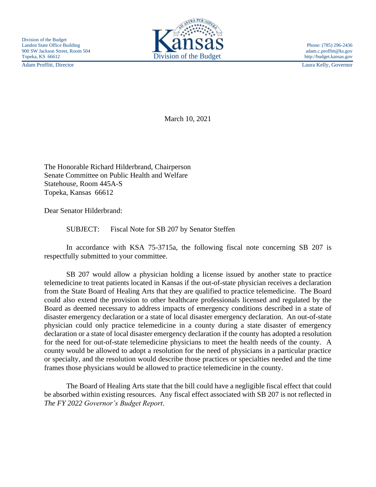Adam Proffitt, Director Laura Kelly, Governor



March 10, 2021

The Honorable Richard Hilderbrand, Chairperson Senate Committee on Public Health and Welfare Statehouse, Room 445A-S Topeka, Kansas 66612

Dear Senator Hilderbrand:

SUBJECT: Fiscal Note for SB 207 by Senator Steffen

In accordance with KSA 75-3715a, the following fiscal note concerning SB 207 is respectfully submitted to your committee.

SB 207 would allow a physician holding a license issued by another state to practice telemedicine to treat patients located in Kansas if the out-of-state physician receives a declaration from the State Board of Healing Arts that they are qualified to practice telemedicine. The Board could also extend the provision to other healthcare professionals licensed and regulated by the Board as deemed necessary to address impacts of emergency conditions described in a state of disaster emergency declaration or a state of local disaster emergency declaration. An out-of-state physician could only practice telemedicine in a county during a state disaster of emergency declaration or a state of local disaster emergency declaration if the county has adopted a resolution for the need for out-of-state telemedicine physicians to meet the health needs of the county. A county would be allowed to adopt a resolution for the need of physicians in a particular practice or specialty, and the resolution would describe those practices or specialties needed and the time frames those physicians would be allowed to practice telemedicine in the county.

The Board of Healing Arts state that the bill could have a negligible fiscal effect that could be absorbed within existing resources. Any fiscal effect associated with SB 207 is not reflected in *The FY 2022 Governor's Budget Report*.